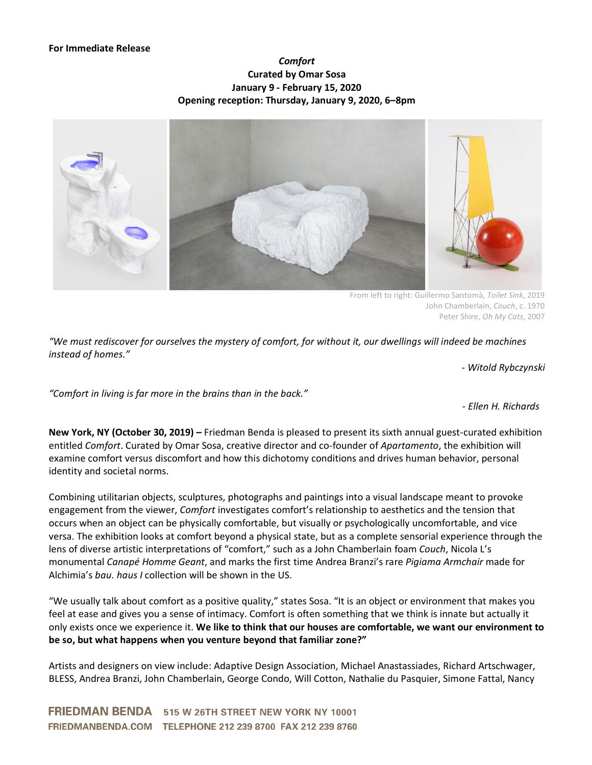## *Comfort* **Curated by Omar Sosa January 9 - February 15, 2020 Opening reception: Thursday, January 9, 2020, 6–8pm**



From left to right: Guillermo Santomà, *Toilet Sink*, 2019 John Chamberlain, *Couch*, c. 1970 Peter Shire, *Oh My Cats*, 2007

"We must rediscover for ourselves the mystery of comfort, for without it, our dwellings will indeed be machines *instead of homes."*

*- Witold Rybczynski*

*"Comfort in living is far more in the brains than in the back."*

*- Ellen H. Richards*

**New York, NY (October 30, 2019) –** Friedman Benda is pleased to present its sixth annual guest-curated exhibition entitled *Comfort*. Curated by Omar Sosa, creative director and co-founder of *Apartamento*, the exhibition will examine comfort versus discomfort and how this dichotomy conditions and drives human behavior, personal identity and societal norms.

Combining utilitarian objects, sculptures, photographs and paintings into a visual landscape meant to provoke engagement from the viewer, *Comfort* investigates comfort's relationship to aesthetics and the tension that occurs when an object can be physically comfortable, but visually or psychologically uncomfortable, and vice versa. The exhibition looks at comfort beyond a physical state, but as a complete sensorial experience through the lens of diverse artistic interpretations of "comfort," such as a John Chamberlain foam *Couch*, Nicola L's monumental *Canapé Homme Geant*, and marks the first time Andrea Branzi's rare *Pigiama Armchair* made for Alchimia's *bau. haus I* collection will be shown in the US.

"We usually talk about comfort as a positive quality," states Sosa. "It is an object or environment that makes you feel at ease and gives you a sense of intimacy. Comfort is often something that we think is innate but actually it only exists once we experience it. **We like to think that our houses are comfortable, we want our environment to be so, but what happens when you venture beyond that familiar zone?"**

Artists and designers on view include: Adaptive Design Association, Michael Anastassiades, Richard Artschwager, BLESS, Andrea Branzi, John Chamberlain, George Condo, Will Cotton, Nathalie du Pasquier, Simone Fattal, Nancy